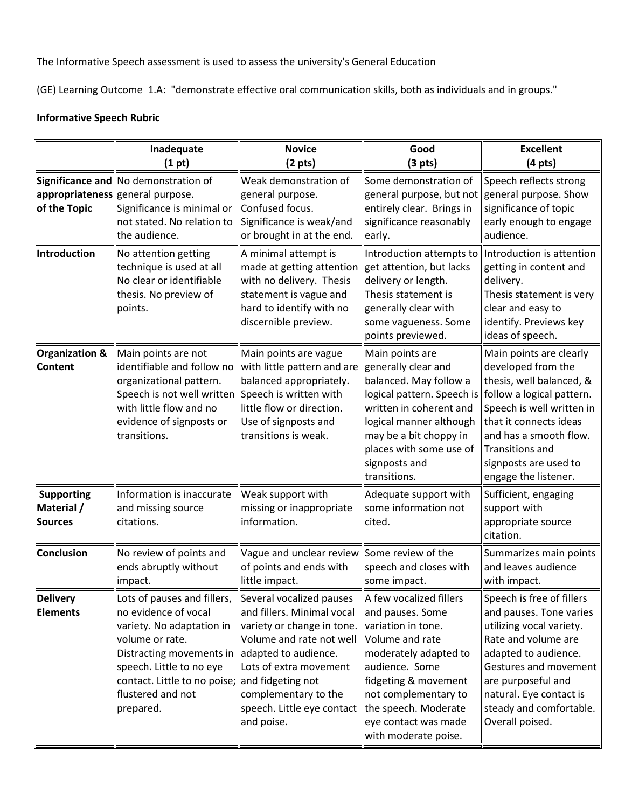The Informative Speech assessment is used to assess the university's General Education

(GE) Learning Outcome 1.A: "demonstrate effective oral communication skills, both as individuals and in groups."

## **Informative Speech Rubric**

|                                                   | Inadequate<br>(1 pt)                                                                                                                                                                                                                                                   | <b>Novice</b><br>(2 <sub>pts</sub> )                                                                                                                                                                                                 | Good<br>(3 <sub>pts</sub> )                                                                                                                                                                                                                                            | <b>Excellent</b><br>$(4 pts)$                                                                                                                                                                                                                           |
|---------------------------------------------------|------------------------------------------------------------------------------------------------------------------------------------------------------------------------------------------------------------------------------------------------------------------------|--------------------------------------------------------------------------------------------------------------------------------------------------------------------------------------------------------------------------------------|------------------------------------------------------------------------------------------------------------------------------------------------------------------------------------------------------------------------------------------------------------------------|---------------------------------------------------------------------------------------------------------------------------------------------------------------------------------------------------------------------------------------------------------|
| of the Topic                                      | Significance and No demonstration of<br>appropriateness general purpose.<br>Significance is minimal or<br>not stated. No relation to<br>the audience.                                                                                                                  | Weak demonstration of<br>general purpose.<br>Confused focus.<br>Significance is weak/and<br>or brought in at the end.                                                                                                                | Some demonstration of<br>general purpose, but not   general purpose. Show<br>entirely clear. Brings in<br>significance reasonably<br>early.                                                                                                                            | Speech reflects strong<br>significance of topic<br>early enough to engage<br>audience.                                                                                                                                                                  |
| Introduction                                      | No attention getting<br>technique is used at all<br>No clear or identifiable<br>thesis. No preview of<br>points.                                                                                                                                                       | A minimal attempt is<br>made at getting attention   get attention, but lacks<br>with no delivery. Thesis<br>statement is vague and<br>hard to identify with no<br>discernible preview.                                               | Introduction attempts to   Introduction is attention<br>delivery or length.<br>Thesis statement is<br>generally clear with<br>some vagueness. Some<br>points previewed.                                                                                                | getting in content and<br>delivery.<br>Thesis statement is very<br>clear and easy to<br>identify. Previews key<br>ideas of speech.                                                                                                                      |
| <b>Organization &amp;</b><br><b>Content</b>       | Main points are not<br>identifiable and follow no<br>organizational pattern.<br>Speech is not well written Speech is written with<br>with little flow and no<br>evidence of signposts or<br>transitions.                                                               | Main points are vague<br>with little pattern and are<br>balanced appropriately.<br>little flow or direction.<br>Use of signposts and<br>transitions is weak.                                                                         | Main points are<br>generally clear and<br>balanced. May follow a<br>logical pattern. Speech is   follow a logical pattern.<br>written in coherent and<br>logical manner although<br>may be a bit choppy in<br>places with some use of<br>signposts and<br>transitions. | Main points are clearly<br>developed from the<br>thesis, well balanced, &<br>Speech is well written in<br>that it connects ideas<br>and has a smooth flow.<br>Transitions and<br>signposts are used to<br>engage the listener.                          |
| <b>Supporting</b><br>Material /<br><b>Sources</b> | Information is inaccurate<br>and missing source<br>citations.                                                                                                                                                                                                          | Weak support with<br>missing or inappropriate<br>information.                                                                                                                                                                        | Adequate support with<br>some information not<br>cited.                                                                                                                                                                                                                | Sufficient, engaging<br>support with<br>appropriate source<br>citation.                                                                                                                                                                                 |
| <b>Conclusion</b>                                 | No review of points and<br>ends abruptly without<br>impact.                                                                                                                                                                                                            | Vague and unclear review Some review of the<br>of points and ends with<br>little impact.                                                                                                                                             | speech and closes with<br>some impact.                                                                                                                                                                                                                                 | Summarizes main points<br>and leaves audience<br>with impact.                                                                                                                                                                                           |
| <b>Delivery</b><br><b>Elements</b>                | Lots of pauses and fillers,<br>no evidence of vocal<br>variety. No adaptation in<br>volume or rate.<br>Distracting movements in   adapted to audience.<br>speech. Little to no eye<br>contact. Little to no poise; and fidgeting not<br>flustered and not<br>prepared. | Several vocalized pauses<br>and fillers. Minimal vocal<br>variety or change in tone.<br>Volume and rate not well<br>Lots of extra movement<br>complementary to the<br>speech. Little eye contact lthe speech. Moderate<br>and poise. | A few vocalized fillers<br>and pauses. Some<br>variation in tone.<br>Volume and rate<br>moderately adapted to<br>audience. Some<br>fidgeting & movement<br>not complementary to<br>eye contact was made<br>with moderate poise.                                        | Speech is free of fillers<br>and pauses. Tone varies<br>utilizing vocal variety.<br>Rate and volume are<br>adapted to audience.<br>Gestures and movement<br>are purposeful and<br>natural. Eye contact is<br>steady and comfortable.<br>Overall poised. |